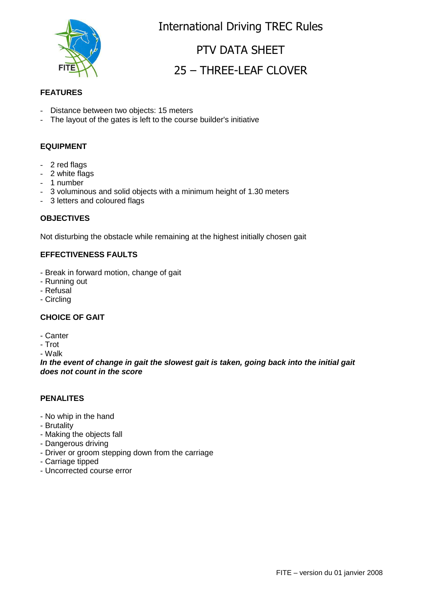

International Driving TREC Rules

# PTV DATA SHEET 25 – THREE-LEAF CLOVER

### **FEATURES**

- Distance between two objects: 15 meters
- The layout of the gates is left to the course builder's initiative

### **EQUIPMENT**

- 2 red flags
- 2 white flags
- 1 number
- 3 voluminous and solid objects with a minimum height of 1.30 meters
- 3 letters and coloured flags

#### **OBJECTIVES**

Not disturbing the obstacle while remaining at the highest initially chosen gait

### **EFFECTIVENESS FAULTS**

- Break in forward motion, change of gait
- Running out
- Refusal
- Circling

### **CHOICE OF GAIT**

- Canter
- Trot

- Walk

**In the event of change in gait the slowest gait is taken, going back into the initial gait does not count in the score**

#### **PENALITES**

- No whip in the hand
- Brutality
- Making the objects fall
- Dangerous driving
- Driver or groom stepping down from the carriage
- Carriage tipped
- Uncorrected course error